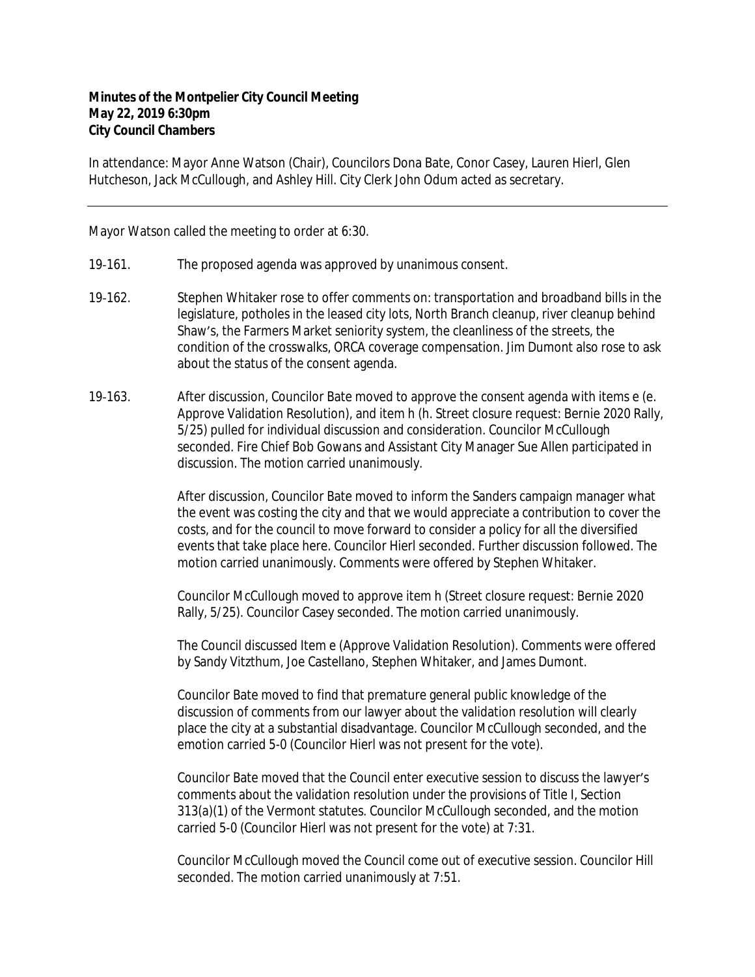## **Minutes of the Montpelier City Council Meeting May 22, 2019 6:30pm City Council Chambers**

In attendance: Mayor Anne Watson (Chair), Councilors Dona Bate, Conor Casey, Lauren Hierl, Glen Hutcheson, Jack McCullough, and Ashley Hill. City Clerk John Odum acted as secretary.

Mayor Watson called the meeting to order at 6:30.

- 19-161. The proposed agenda was approved by unanimous consent.
- 19-162. Stephen Whitaker rose to offer comments on: transportation and broadband bills in the legislature, potholes in the leased city lots, North Branch cleanup, river cleanup behind Shaw's, the Farmers Market seniority system, the cleanliness of the streets, the condition of the crosswalks, ORCA coverage compensation. Jim Dumont also rose to ask about the status of the consent agenda.
- 19-163. After discussion, Councilor Bate moved to approve the consent agenda with items e (e. Approve Validation Resolution), and item h (h. Street closure request: Bernie 2020 Rally, 5/25) pulled for individual discussion and consideration. Councilor McCullough seconded. Fire Chief Bob Gowans and Assistant City Manager Sue Allen participated in discussion. The motion carried unanimously.

After discussion, Councilor Bate moved to inform the Sanders campaign manager what the event was costing the city and that we would appreciate a contribution to cover the costs, and for the council to move forward to consider a policy for all the diversified events that take place here. Councilor Hierl seconded. Further discussion followed. The motion carried unanimously. Comments were offered by Stephen Whitaker.

Councilor McCullough moved to approve item h (Street closure request: Bernie 2020 Rally, 5/25). Councilor Casey seconded. The motion carried unanimously.

The Council discussed Item e (Approve Validation Resolution). Comments were offered by Sandy Vitzthum, Joe Castellano, Stephen Whitaker, and James Dumont.

Councilor Bate moved to find that premature general public knowledge of the discussion of comments from our lawyer about the validation resolution will clearly place the city at a substantial disadvantage. Councilor McCullough seconded, and the emotion carried 5-0 (Councilor Hierl was not present for the vote).

Councilor Bate moved that the Council enter executive session to discuss the lawyer's comments about the validation resolution under the provisions of Title I, Section 313(a)(1) of the Vermont statutes. Councilor McCullough seconded, and the motion carried 5-0 (Councilor Hierl was not present for the vote) at 7:31.

Councilor McCullough moved the Council come out of executive session. Councilor Hill seconded. The motion carried unanimously at 7:51.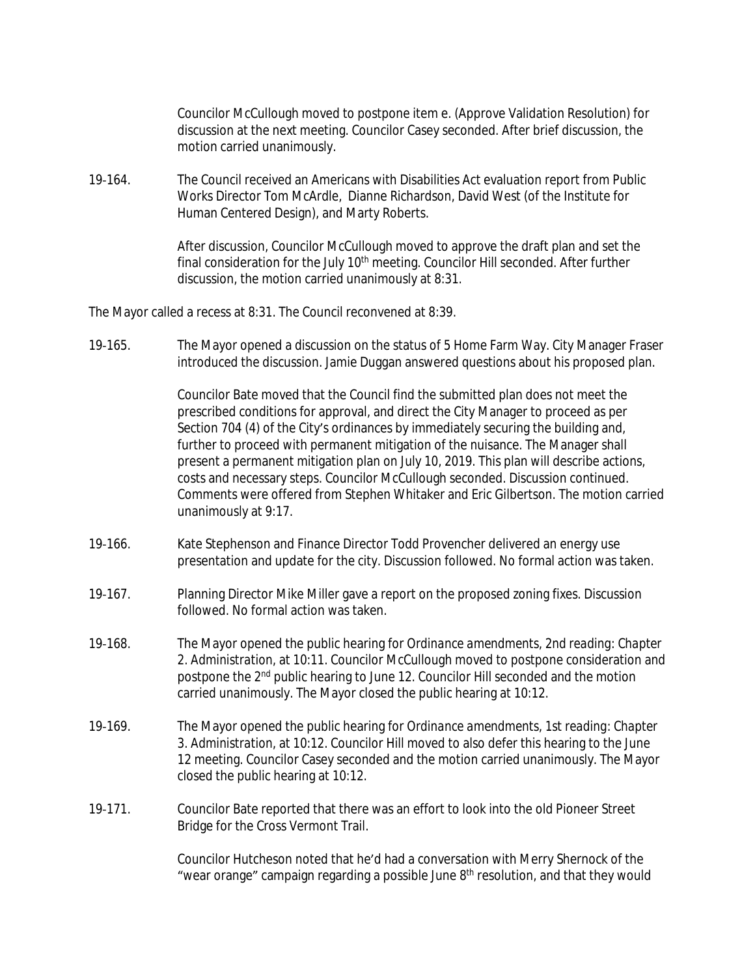Councilor McCullough moved to postpone item e. (Approve Validation Resolution) for discussion at the next meeting. Councilor Casey seconded. After brief discussion, the motion carried unanimously.

19‐164. The Council received an Americans with Disabilities Act evaluation report from Public Works Director Tom McArdle, Dianne Richardson, David West (of the Institute for Human Centered Design), and Marty Roberts.

> After discussion, Councilor McCullough moved to approve the draft plan and set the final consideration for the July 10<sup>th</sup> meeting. Councilor Hill seconded. After further discussion, the motion carried unanimously at 8:31.

The Mayor called a recess at 8:31. The Council reconvened at 8:39.

19‐165. The Mayor opened a discussion on the status of 5 Home Farm Way. City Manager Fraser introduced the discussion. Jamie Duggan answered questions about his proposed plan.

> Councilor Bate moved that the Council find the submitted plan does not meet the prescribed conditions for approval, and direct the City Manager to proceed as per Section 704 (4) of the City's ordinances by immediately securing the building and, further to proceed with permanent mitigation of the nuisance. The Manager shall present a permanent mitigation plan on July 10, 2019. This plan will describe actions, costs and necessary steps. Councilor McCullough seconded. Discussion continued. Comments were offered from Stephen Whitaker and Eric Gilbertson. The motion carried unanimously at 9:17.

- 19‐166. Kate Stephenson and Finance Director Todd Provencher delivered an energy use presentation and update for the city. Discussion followed. No formal action was taken.
- 19‐167. Planning Director Mike Miller gave a report on the proposed zoning fixes. Discussion followed. No formal action was taken.
- 19‐168. The Mayor opened the public hearing for *Ordinance amendments, 2nd reading: Chapter 2. Administration*, at 10:11. Councilor McCullough moved to postpone consideration and postpone the 2<sup>nd</sup> public hearing to June 12. Councilor Hill seconded and the motion carried unanimously. The Mayor closed the public hearing at 10:12.
- 19‐169. The Mayor opened the public hearing for *Ordinance amendments, 1st reading: Chapter 3. Administration*, at 10:12. Councilor Hill moved to also defer this hearing to the June 12 meeting. Councilor Casey seconded and the motion carried unanimously. The Mayor closed the public hearing at 10:12.
- 19-171. Councilor Bate reported that there was an effort to look into the old Pioneer Street Bridge for the Cross Vermont Trail.

Councilor Hutcheson noted that he'd had a conversation with Merry Shernock of the "wear orange" campaign regarding a possible June 8<sup>th</sup> resolution, and that they would